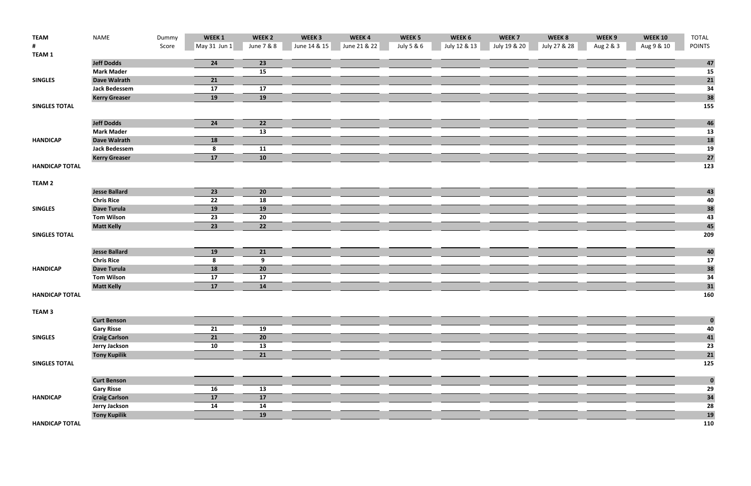| <b>TEAM</b>           | <b>NAME</b>          | Dummy | WEEK 1               | WEEK <sub>2</sub> | WEEK <sub>3</sub> | WEEK4        | WEEK <sub>5</sub> | WEEK 6       | WEEK <sub>7</sub> | WEEK 8       | WEEK 9    | <b>WEEK 10</b> | <b>TOTAL</b>  |
|-----------------------|----------------------|-------|----------------------|-------------------|-------------------|--------------|-------------------|--------------|-------------------|--------------|-----------|----------------|---------------|
| #                     |                      | Score | $\vert$ May 31 Jun 1 | June 7 & 8        | June 14 & 15      | June 21 & 22 | July 5 & 6        | July 12 & 13 | July 19 & 20      | July 27 & 28 | Aug 2 & 3 | Aug 9 & 10     | <b>POINTS</b> |
| <b>TEAM 1</b>         |                      |       |                      |                   |                   |              |                   |              |                   |              |           |                |               |
|                       | <b>Jeff Dodds</b>    |       | 24                   | 23                |                   |              |                   |              |                   |              |           |                | 47            |
|                       | <b>Mark Mader</b>    |       |                      | 15                |                   |              |                   |              |                   |              |           |                | <b>15</b>     |
| <b>SINGLES</b>        | <b>Dave Walrath</b>  |       | 21                   |                   |                   |              |                   |              |                   |              |           |                | $\mathbf{21}$ |
|                       | <b>Jack Bedessem</b> |       | 17                   | 17                |                   |              |                   |              |                   |              |           |                | 34            |
|                       | <b>Kerry Greaser</b> |       | 19                   | 19                |                   |              |                   |              |                   |              |           |                | 38            |
| <b>SINGLES TOTAL</b>  |                      |       |                      |                   |                   |              |                   |              |                   |              |           |                | 155           |
|                       |                      |       |                      |                   |                   |              |                   |              |                   |              |           |                |               |
|                       | <b>Jeff Dodds</b>    |       | 24                   | 22                |                   |              |                   |              |                   |              |           |                | 46            |
|                       | <b>Mark Mader</b>    |       |                      | 13                |                   |              |                   |              |                   |              |           |                | 13            |
| <b>HANDICAP</b>       | <b>Dave Walrath</b>  |       | 18                   |                   |                   |              |                   |              |                   |              |           |                | 18            |
|                       | <b>Jack Bedessem</b> |       | 8                    | 11                |                   |              |                   |              |                   |              |           |                | 19            |
|                       | <b>Kerry Greaser</b> |       | 17                   | 10                |                   |              |                   |              |                   |              |           |                | 27            |
| <b>HANDICAP TOTAL</b> |                      |       |                      |                   |                   |              |                   |              |                   |              |           |                | 123           |
|                       |                      |       |                      |                   |                   |              |                   |              |                   |              |           |                |               |
| <b>TEAM 2</b>         |                      |       |                      |                   |                   |              |                   |              |                   |              |           |                |               |
|                       | <b>Jesse Ballard</b> |       | 23                   | 20                |                   |              |                   |              |                   |              |           |                | 43            |
|                       | <b>Chris Rice</b>    |       | 22                   | 18                |                   |              |                   |              |                   |              |           |                | 40            |
| <b>SINGLES</b>        | <b>Dave Turula</b>   |       | <b>19</b>            | <b>19</b>         |                   |              |                   |              |                   |              |           |                | 38            |
|                       | <b>Tom Wilson</b>    |       | 23                   | 20                |                   |              |                   |              |                   |              |           |                | 43            |
|                       | <b>Matt Kelly</b>    |       | 23                   | $\overline{22}$   |                   |              |                   |              |                   |              |           |                | 45            |
| <b>SINGLES TOTAL</b>  |                      |       |                      |                   |                   |              |                   |              |                   |              |           |                | 209           |
|                       |                      |       |                      |                   |                   |              |                   |              |                   |              |           |                |               |
|                       | <b>Jesse Ballard</b> |       | 19                   | 21                |                   |              |                   |              |                   |              |           |                | 40            |
|                       | <b>Chris Rice</b>    |       | 8                    | 9                 |                   |              |                   |              |                   |              |           |                | 17            |
| <b>HANDICAP</b>       | <b>Dave Turula</b>   |       | 18                   | 20                |                   |              |                   |              |                   |              |           |                | 38            |
|                       | <b>Tom Wilson</b>    |       | 17                   | 17                |                   |              |                   |              |                   |              |           |                | 34            |
|                       | <b>Matt Kelly</b>    |       | 17                   | 14                |                   |              |                   |              |                   |              |           |                | 31            |
| <b>HANDICAP TOTAL</b> |                      |       |                      |                   |                   |              |                   |              |                   |              |           |                | 160           |
|                       |                      |       |                      |                   |                   |              |                   |              |                   |              |           |                |               |
| TEAM <sub>3</sub>     |                      |       |                      |                   |                   |              |                   |              |                   |              |           |                |               |
|                       | <b>Curt Benson</b>   |       |                      |                   |                   |              |                   |              |                   |              |           |                | $\bf{0}$      |
|                       | <b>Gary Risse</b>    |       | 21                   | 19                |                   |              |                   |              |                   |              |           |                | 40            |
| <b>SINGLES</b>        | <b>Craig Carlson</b> |       | 21                   | 20                |                   |              |                   |              |                   |              |           |                | 41            |
|                       | <b>Jerry Jackson</b> |       | 10                   | 13                |                   |              |                   |              |                   |              |           |                | 23            |
|                       | <b>Tony Kupilik</b>  |       |                      | 21                |                   |              |                   |              |                   |              |           |                | 21            |
| <b>SINGLES TOTAL</b>  |                      |       |                      |                   |                   |              |                   |              |                   |              |           |                | 125           |
|                       |                      |       |                      |                   |                   |              |                   |              |                   |              |           |                |               |
|                       | <b>Curt Benson</b>   |       |                      |                   |                   |              |                   |              |                   |              |           |                | $\bf{0}$      |
|                       | <b>Gary Risse</b>    |       | 16                   | 13                |                   |              |                   |              |                   |              |           |                | 29            |
| <b>HANDICAP</b>       | <b>Craig Carlson</b> |       | 17                   | 17<br>14          |                   |              |                   |              |                   |              |           |                | 34<br>28      |
|                       | <b>Jerry Jackson</b> |       | 14                   | 19                |                   |              |                   |              |                   |              |           |                | 19            |
| <b>HANDICAP TOTAL</b> | <b>Tony Kupilik</b>  |       |                      |                   |                   |              |                   |              |                   |              |           |                | 110           |
|                       |                      |       |                      |                   |                   |              |                   |              |                   |              |           |                |               |

**HANDICAP**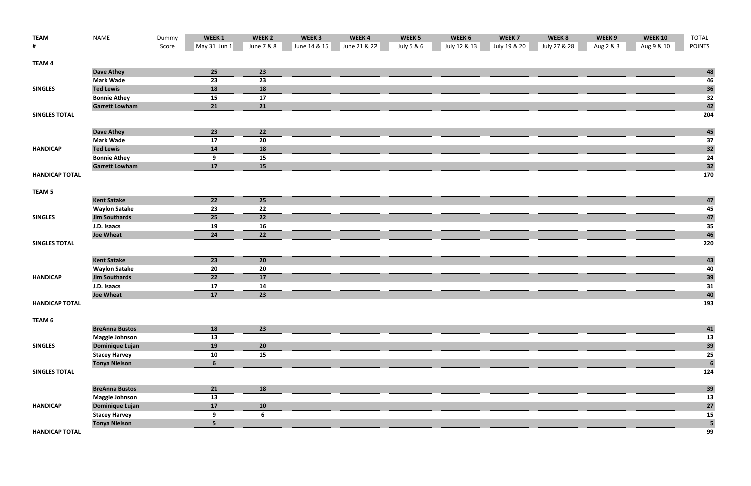| <b>TEAM</b>           | <b>NAME</b>            | Dummy | WEEK <sub>1</sub> | WEEK <sub>2</sub> | WEEK <sub>3</sub> | WEEK4        | WEEK <sub>5</sub> | WEEK 6       | WEEK <sub>7</sub> | WEEK 8       | WEEK 9    | <b>WEEK 10</b> | <b>TOTAL</b>    |
|-----------------------|------------------------|-------|-------------------|-------------------|-------------------|--------------|-------------------|--------------|-------------------|--------------|-----------|----------------|-----------------|
| #                     |                        | Score | May 31 Jun 1      | June 7 & 8        | June 14 & 15      | June 21 & 22 | July 5 & 6        | July 12 & 13 | July 19 & 20      | July 27 & 28 | Aug 2 & 3 | Aug 9 & 10     | <b>POINTS</b>   |
| TEAM 4                |                        |       |                   |                   |                   |              |                   |              |                   |              |           |                |                 |
|                       | <b>Dave Athey</b>      |       | 25                | 23                |                   |              |                   |              |                   |              |           |                | 48              |
|                       | <b>Mark Wade</b>       |       | 23                | 23                |                   |              |                   |              |                   |              |           |                | 46              |
| <b>SINGLES</b>        | <b>Ted Lewis</b>       |       | 18                | 18                |                   |              |                   |              |                   |              |           |                | 36              |
|                       | <b>Bonnie Athey</b>    |       | 15                | 17                |                   |              |                   |              |                   |              |           |                | 32              |
|                       | <b>Garrett Lowham</b>  |       | 21                | 21                |                   |              |                   |              |                   |              |           |                | 42              |
| <b>SINGLES TOTAL</b>  |                        |       |                   |                   |                   |              |                   |              |                   |              |           |                | 204             |
|                       | <b>Dave Athey</b>      |       | 23                | 22                |                   |              |                   |              |                   |              |           |                | 45              |
|                       | <b>Mark Wade</b>       |       | 17                | 20                |                   |              |                   |              |                   |              |           |                | 37              |
| <b>HANDICAP</b>       | <b>Ted Lewis</b>       |       | 14                | 18                |                   |              |                   |              |                   |              |           |                | 32              |
|                       | <b>Bonnie Athey</b>    |       | 9                 | 15                |                   |              |                   |              |                   |              |           |                | 24              |
|                       | <b>Garrett Lowham</b>  |       | 17                | 15                |                   |              |                   |              |                   |              |           |                | 32              |
| <b>HANDICAP TOTAL</b> |                        |       |                   |                   |                   |              |                   |              |                   |              |           |                | 170             |
| <b>TEAM 5</b>         |                        |       |                   |                   |                   |              |                   |              |                   |              |           |                |                 |
|                       | <b>Kent Satake</b>     |       | 22                | 25                |                   |              |                   |              |                   |              |           |                | 47              |
|                       | <b>Waylon Satake</b>   |       | 23                | 22                |                   |              |                   |              |                   |              |           |                | 45              |
| <b>SINGLES</b>        | <b>Jim Southards</b>   |       | 25                | $\overline{22}$   |                   |              |                   |              |                   |              |           |                | 47              |
|                       | J.D. Isaacs            |       | 19                | 16                |                   |              |                   |              |                   |              |           |                | $\overline{35}$ |
|                       | <b>Joe Wheat</b>       |       | 24                | 22                |                   |              |                   |              |                   |              |           |                | 46              |
| <b>SINGLES TOTAL</b>  |                        |       |                   |                   |                   |              |                   |              |                   |              |           |                | 220             |
|                       | <b>Kent Satake</b>     |       | 23                | 20                |                   |              |                   |              |                   |              |           |                | 43              |
|                       | <b>Waylon Satake</b>   |       | 20                | 20                |                   |              |                   |              |                   |              |           |                | 40              |
| <b>HANDICAP</b>       | <b>Jim Southards</b>   |       | 22                | 17                |                   |              |                   |              |                   |              |           |                | 39              |
|                       | J.D. Isaacs            |       | 17                | 14                |                   |              |                   |              |                   |              |           |                | 31              |
|                       | <b>Joe Wheat</b>       |       | 17                | 23                |                   |              |                   |              |                   |              |           |                | 40              |
| <b>HANDICAP TOTAL</b> |                        |       |                   |                   |                   |              |                   |              |                   |              |           |                | 193             |
| TEAM 6                |                        |       |                   |                   |                   |              |                   |              |                   |              |           |                |                 |
|                       | <b>BreAnna Bustos</b>  |       | 18                | 23                |                   |              |                   |              |                   |              |           |                | 41              |
|                       | <b>Maggie Johnson</b>  |       | 13                |                   |                   |              |                   |              |                   |              |           |                | 13              |
| <b>SINGLES</b>        | <b>Dominique Lujan</b> |       | 19                | 20                |                   |              |                   |              |                   |              |           |                | 39              |
|                       | <b>Stacey Harvey</b>   |       | 10                | 15                |                   |              |                   |              |                   |              |           |                | 25              |
|                       | <b>Tonya Nielson</b>   |       | 6                 |                   |                   |              |                   |              |                   |              |           |                | $\overline{6}$  |
| <b>SINGLES TOTAL</b>  |                        |       |                   |                   |                   |              |                   |              |                   |              |           |                | 124             |
|                       | <b>BreAnna Bustos</b>  |       | 21                | <b>18</b>         |                   |              |                   |              |                   |              |           |                | 39              |
|                       | <b>Maggie Johnson</b>  |       | 13                |                   |                   |              |                   |              |                   |              |           |                | 13              |
| <b>HANDICAP</b>       | <b>Dominique Lujan</b> |       | 17                | 10                |                   |              |                   |              |                   |              |           |                | 27              |
|                       | <b>Stacey Harvey</b>   |       | 9                 | 6                 |                   |              |                   |              |                   |              |           |                | <b>15</b>       |
|                       | <b>Tonya Nielson</b>   |       | 5 <sup>1</sup>    |                   |                   |              |                   |              |                   |              |           |                | 5               |
| <b>HANDICAP TOTAL</b> |                        |       |                   |                   |                   |              |                   |              |                   |              |           |                | 99              |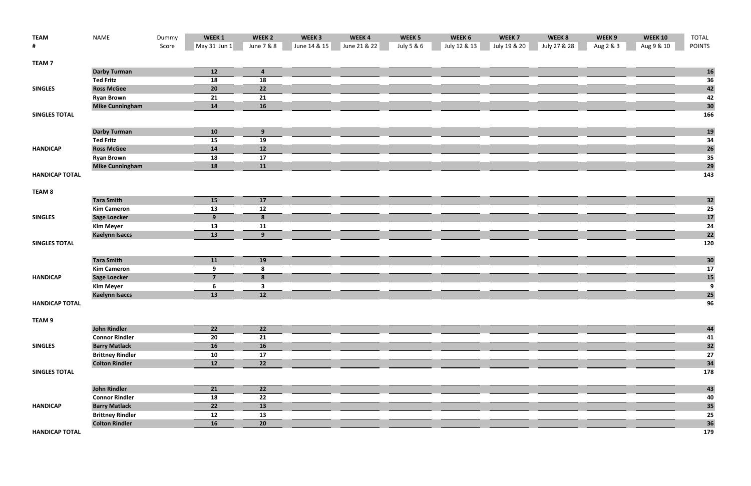| <b>TEAM</b>           | <b>NAME</b>             | Dummy | WEEK 1                  | WEEK <sub>2</sub>       | WEEK <sub>3</sub> | WEEK4        | WEEK <sub>5</sub> | WEEK 6       | WEEK <sub>7</sub> | WEEK 8       | WEEK 9    | <b>WEEK 10</b> | <b>TOTAL</b>    |
|-----------------------|-------------------------|-------|-------------------------|-------------------------|-------------------|--------------|-------------------|--------------|-------------------|--------------|-----------|----------------|-----------------|
| #                     |                         | Score | May 31 Jun 1            | June 7 & 8              | June 14 & 15      | June 21 & 22 | July 5 & 6        | July 12 & 13 | July 19 & 20      | July 27 & 28 | Aug 2 & 3 | Aug 9 & 10     | <b>POINTS</b>   |
| <b>TEAM7</b>          |                         |       |                         |                         |                   |              |                   |              |                   |              |           |                |                 |
|                       | <b>Darby Turman</b>     |       | 12                      | $\overline{\mathbf{4}}$ |                   |              |                   |              |                   |              |           |                | <b>16</b>       |
|                       | <b>Ted Fritz</b>        |       | 18                      | 18                      |                   |              |                   |              |                   |              |           |                | 36              |
| <b>SINGLES</b>        | <b>Ross McGee</b>       |       | 20                      | 22                      |                   |              |                   |              |                   |              |           |                | 42              |
|                       | <b>Ryan Brown</b>       |       | 21                      | 21                      |                   |              |                   |              |                   |              |           |                | 42              |
|                       | <b>Mike Cunningham</b>  |       | 14                      | 16                      |                   |              |                   |              |                   |              |           |                | 30              |
| <b>SINGLES TOTAL</b>  |                         |       |                         |                         |                   |              |                   |              |                   |              |           |                | 166             |
|                       | <b>Darby Turman</b>     |       | 10                      | 9                       |                   |              |                   |              |                   |              |           |                | 19              |
|                       | <b>Ted Fritz</b>        |       | 15                      | 19                      |                   |              |                   |              |                   |              |           |                | 34              |
| <b>HANDICAP</b>       | <b>Ross McGee</b>       |       | 14                      | 12                      |                   |              |                   |              |                   |              |           |                | <b>26</b>       |
|                       | <b>Ryan Brown</b>       |       | 18                      | 17                      |                   |              |                   |              |                   |              |           |                | 35              |
|                       | <b>Mike Cunningham</b>  |       | 18                      | 11                      |                   |              |                   |              |                   |              |           |                | 29              |
| <b>HANDICAP TOTAL</b> |                         |       |                         |                         |                   |              |                   |              |                   |              |           |                | 143             |
| TEAM <sub>8</sub>     |                         |       |                         |                         |                   |              |                   |              |                   |              |           |                |                 |
|                       | <b>Tara Smith</b>       |       | 15                      | 17                      |                   |              |                   |              |                   |              |           |                | 32              |
|                       | <b>Kim Cameron</b>      |       | 13                      | 12                      |                   |              |                   |              |                   |              |           |                | 25              |
| <b>SINGLES</b>        | <b>Sage Loecker</b>     |       | 9                       | 8                       |                   |              |                   |              |                   |              |           |                | 17              |
|                       | <b>Kim Meyer</b>        |       | 13                      | 11                      |                   |              |                   |              |                   |              |           |                | 24              |
|                       | <b>Kaelynn Isaccs</b>   |       | 13                      | 9                       |                   |              |                   |              |                   |              |           |                | $\overline{22}$ |
| <b>SINGLES TOTAL</b>  |                         |       |                         |                         |                   |              |                   |              |                   |              |           |                | 120             |
|                       | <b>Tara Smith</b>       |       | 11                      | 19                      |                   |              |                   |              |                   |              |           |                | 30              |
|                       | <b>Kim Cameron</b>      |       | 9                       | 8                       |                   |              |                   |              |                   |              |           |                | 17              |
| <b>HANDICAP</b>       | <b>Sage Loecker</b>     |       | $\overline{\mathbf{z}}$ | 8                       |                   |              |                   |              |                   |              |           |                | <b>15</b>       |
|                       | <b>Kim Meyer</b>        |       | 6                       | $\mathbf{3}$            |                   |              |                   |              |                   |              |           |                | 9               |
|                       | <b>Kaelynn Isaccs</b>   |       | 13                      | 12                      |                   |              |                   |              |                   |              |           |                | 25              |
| <b>HANDICAP TOTAL</b> |                         |       |                         |                         |                   |              |                   |              |                   |              |           |                | 96              |
| TEAM 9                |                         |       |                         |                         |                   |              |                   |              |                   |              |           |                |                 |
|                       | <b>John Rindler</b>     |       | 22                      | 22                      |                   |              |                   |              |                   |              |           |                | 44              |
|                       | <b>Connor Rindler</b>   |       | 20                      | 21                      |                   |              |                   |              |                   |              |           |                | 41              |
| <b>SINGLES</b>        | <b>Barry Matlack</b>    |       | 16                      | <b>16</b>               |                   |              |                   |              |                   |              |           |                | 32              |
|                       | <b>Brittney Rindler</b> |       | 10                      | 17                      |                   |              |                   |              |                   |              |           |                | 27              |
|                       | <b>Colton Rindler</b>   |       | 12                      | 22                      |                   |              |                   |              |                   |              |           |                | 34              |
| <b>SINGLES TOTAL</b>  |                         |       |                         |                         |                   |              |                   |              |                   |              |           |                | 178             |
|                       | <b>John Rindler</b>     |       | 21                      | 22                      |                   |              |                   |              |                   |              |           |                | 43              |
|                       | <b>Connor Rindler</b>   |       | 18                      | 22                      |                   |              |                   |              |                   |              |           |                | 40              |
| <b>HANDICAP</b>       | <b>Barry Matlack</b>    |       | 22                      | 13                      |                   |              |                   |              |                   |              |           |                | 35              |
|                       | <b>Brittney Rindler</b> |       | 12                      | 13                      |                   |              |                   |              |                   |              |           |                | 25              |
|                       | <b>Colton Rindler</b>   |       | 16                      | 20                      |                   |              |                   |              |                   |              |           |                | 36              |
| <b>HANDICAP TOTAL</b> |                         |       |                         |                         |                   |              |                   |              |                   |              |           |                | 179             |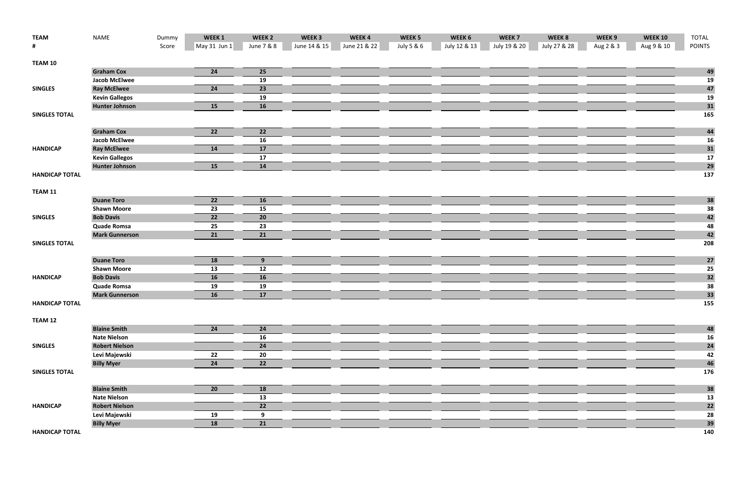| <b>TEAM</b>           | NAME                  | Dummy | WEEK 1          | WEEK <sub>2</sub> | WEEK <sub>3</sub> | WEEK4        | WEEK <sub>5</sub> | WEEK 6       | WEEK <sub>7</sub> | WEEK 8       | WEEK 9    | <b>WEEK 10</b> | <b>TOTAL</b>    |
|-----------------------|-----------------------|-------|-----------------|-------------------|-------------------|--------------|-------------------|--------------|-------------------|--------------|-----------|----------------|-----------------|
| #                     |                       | Score | May 31 Jun 1    | June 7 & 8        | June 14 & 15      | June 21 & 22 | July 5 & 6        | July 12 & 13 | July 19 & 20      | July 27 & 28 | Aug 2 & 3 | Aug 9 & 10     | <b>POINTS</b>   |
| TEAM 10               |                       |       |                 |                   |                   |              |                   |              |                   |              |           |                |                 |
|                       | <b>Graham Cox</b>     |       | 24              | 25                |                   |              |                   |              |                   |              |           |                | 49              |
|                       | <b>Jacob McElwee</b>  |       |                 | 19                |                   |              |                   |              |                   |              |           |                | 19              |
| <b>SINGLES</b>        | <b>Ray McElwee</b>    |       | 24              | 23                |                   |              |                   |              |                   |              |           |                | 47              |
|                       | <b>Kevin Gallegos</b> |       |                 | 19                |                   |              |                   |              |                   |              |           |                | 19              |
|                       | <b>Hunter Johnson</b> |       | 15              | 16                |                   |              |                   |              |                   |              |           |                | 31              |
| <b>SINGLES TOTAL</b>  |                       |       |                 |                   |                   |              |                   |              |                   |              |           |                | 165             |
|                       | <b>Graham Cox</b>     |       | $\overline{22}$ | 22                |                   |              |                   |              |                   |              |           |                | 44              |
|                       | <b>Jacob McElwee</b>  |       |                 | 16                |                   |              |                   |              |                   |              |           |                | 16              |
| <b>HANDICAP</b>       | <b>Ray McElwee</b>    |       | 14              | 17                |                   |              |                   |              |                   |              |           |                |                 |
|                       | <b>Kevin Gallegos</b> |       |                 | 17                |                   |              |                   |              |                   |              |           |                | $\frac{31}{17}$ |
|                       | <b>Hunter Johnson</b> |       | 15              | 14                |                   |              |                   |              |                   |              |           |                | 29              |
| <b>HANDICAP TOTAL</b> |                       |       |                 |                   |                   |              |                   |              |                   |              |           |                | 137             |
| TEAM 11               |                       |       |                 |                   |                   |              |                   |              |                   |              |           |                |                 |
|                       | <b>Duane Toro</b>     |       | 22              | <b>16</b>         |                   |              |                   |              |                   |              |           |                | 38              |
|                       | <b>Shawn Moore</b>    |       | 23              | 15                |                   |              |                   |              |                   |              |           |                | 38              |
| <b>SINGLES</b>        | <b>Bob Davis</b>      |       | 22              | 20                |                   |              |                   |              |                   |              |           |                | 42              |
|                       | <b>Quade Romsa</b>    |       | 25              | 23                |                   |              |                   |              |                   |              |           |                | 48              |
|                       | <b>Mark Gunnerson</b> |       | 21              | 21                |                   |              |                   |              |                   |              |           |                | 42              |
| <b>SINGLES TOTAL</b>  |                       |       |                 |                   |                   |              |                   |              |                   |              |           |                | 208             |
|                       | <b>Duane Toro</b>     |       | 18              | 9                 |                   |              |                   |              |                   |              |           |                | 27              |
|                       | <b>Shawn Moore</b>    |       | 13              | 12                |                   |              |                   |              |                   |              |           |                | 25              |
| <b>HANDICAP</b>       | <b>Bob Davis</b>      |       | 16              | 16                |                   |              |                   |              |                   |              |           |                | 32              |
|                       | <b>Quade Romsa</b>    |       | 19              | 19                |                   |              |                   |              |                   |              |           |                | 38              |
|                       | <b>Mark Gunnerson</b> |       | 16              | 17                |                   |              |                   |              |                   |              |           |                | 33              |
| <b>HANDICAP TOTAL</b> |                       |       |                 |                   |                   |              |                   |              |                   |              |           |                | 155             |
| TEAM 12               |                       |       |                 |                   |                   |              |                   |              |                   |              |           |                |                 |
|                       | <b>Blaine Smith</b>   |       | 24              | 24                |                   |              |                   |              |                   |              |           |                | 48              |
|                       | <b>Nate Nielson</b>   |       |                 | 16                |                   |              |                   |              |                   |              |           |                | 16              |
| <b>SINGLES</b>        | <b>Robert Nielson</b> |       |                 | 24                |                   |              |                   |              |                   |              |           |                | 24              |
|                       | Levi Majewski         |       | 22              | 20                |                   |              |                   |              |                   |              |           |                | 42              |
|                       | <b>Billy Myer</b>     |       | 24              | 22                |                   |              |                   |              |                   |              |           |                | 46              |
| <b>SINGLES TOTAL</b>  |                       |       |                 |                   |                   |              |                   |              |                   |              |           |                | 176             |
|                       | <b>Blaine Smith</b>   |       | 20              | 18                |                   |              |                   |              |                   |              |           |                | 38              |
|                       | <b>Nate Nielson</b>   |       |                 | 13                |                   |              |                   |              |                   |              |           |                | 13              |
| <b>HANDICAP</b>       | <b>Robert Nielson</b> |       |                 | 22                |                   |              |                   |              |                   |              |           |                | 22              |
|                       | Levi Majewski         |       | 19              | 9                 |                   |              |                   |              |                   |              |           |                | 28              |
|                       | <b>Billy Myer</b>     |       | 18              | 21                |                   |              |                   |              |                   |              |           |                | 39              |
| <b>HANDICAP TOTAL</b> |                       |       |                 |                   |                   |              |                   |              |                   |              |           |                | 140             |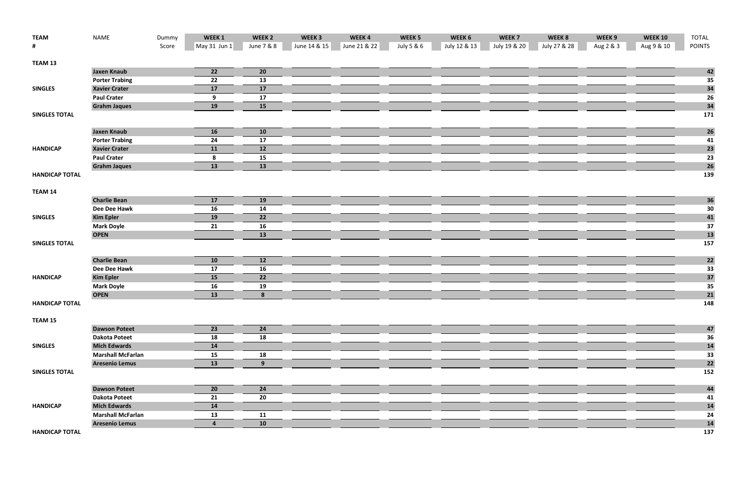| <b>TEAM</b>           | <b>NAME</b>              | Dummy | WEEK 1       | WEEK <sub>2</sub> | WEEK <sub>3</sub> | WEEK4        | WEEK <sub>5</sub> | WEEK 6       | WEEK <sub>7</sub> | WEEK 8       | WEEK 9    | <b>WEEK 10</b> | <b>TOTAL</b>    |
|-----------------------|--------------------------|-------|--------------|-------------------|-------------------|--------------|-------------------|--------------|-------------------|--------------|-----------|----------------|-----------------|
| #                     |                          | Score | May 31 Jun 1 | June 7 & 8        | June 14 & 15      | June 21 & 22 | July 5 & 6        | July 12 & 13 | July 19 & 20      | July 27 & 28 | Aug 2 & 3 | Aug 9 & 10     | <b>POINTS</b>   |
| TEAM 13               |                          |       |              |                   |                   |              |                   |              |                   |              |           |                |                 |
|                       | <b>Jaxen Knaub</b>       |       | 22           | 20                |                   |              |                   |              |                   |              |           |                | 42              |
|                       | <b>Porter Trabing</b>    |       | 22           | 13                |                   |              |                   |              |                   |              |           |                | 35              |
| <b>SINGLES</b>        | <b>Xavier Crater</b>     |       | 17           | 17                |                   |              |                   |              |                   |              |           |                | 34              |
|                       | <b>Paul Crater</b>       |       | 9            | 17                |                   |              |                   |              |                   |              |           |                | 26              |
|                       | <b>Grahm Jaques</b>      |       | 19           | 15                |                   |              |                   |              |                   |              |           |                | 34              |
| <b>SINGLES TOTAL</b>  |                          |       |              |                   |                   |              |                   |              |                   |              |           |                | 171             |
|                       | <b>Jaxen Knaub</b>       |       | 16           | 10                |                   |              |                   |              |                   |              |           |                | 26              |
|                       | <b>Porter Trabing</b>    |       | 24           | 17                |                   |              |                   |              |                   |              |           |                | 41              |
| <b>HANDICAP</b>       | <b>Xavier Crater</b>     |       | 11           | 12                |                   |              |                   |              |                   |              |           |                |                 |
|                       | <b>Paul Crater</b>       |       | 8            | 15                |                   |              |                   |              |                   |              |           |                | $\frac{23}{23}$ |
|                       | <b>Grahm Jaques</b>      |       | 13           | 13                |                   |              |                   |              |                   |              |           |                | 26              |
| <b>HANDICAP TOTAL</b> |                          |       |              |                   |                   |              |                   |              |                   |              |           |                | 139             |
| TEAM 14               |                          |       |              |                   |                   |              |                   |              |                   |              |           |                |                 |
|                       | <b>Charlie Bean</b>      |       | 17           | <b>19</b>         |                   |              |                   |              |                   |              |           |                | 36              |
|                       | Dee Dee Hawk             |       | 16           | 14                |                   |              |                   |              |                   |              |           |                | 30              |
| <b>SINGLES</b>        | <b>Kim Epler</b>         |       | 19           | 22                |                   |              |                   |              |                   |              |           |                | 41              |
|                       | <b>Mark Doyle</b>        |       | 21           | 16                |                   |              |                   |              |                   |              |           |                | $\overline{37}$ |
|                       | <b>OPEN</b>              |       |              | 13                |                   |              |                   |              |                   |              |           |                | 13              |
| <b>SINGLES TOTAL</b>  |                          |       |              |                   |                   |              |                   |              |                   |              |           |                | 157             |
|                       | <b>Charlie Bean</b>      |       | 10           | 12                |                   |              |                   |              |                   |              |           |                | $\mathbf{22}$   |
|                       | Dee Dee Hawk             |       | 17           | 16                |                   |              |                   |              |                   |              |           |                | 33              |
| <b>HANDICAP</b>       | <b>Kim Epler</b>         |       | 15           | 22                |                   |              |                   |              |                   |              |           |                | 37              |
|                       | <b>Mark Doyle</b>        |       | 16           | 19                |                   |              |                   |              |                   |              |           |                | 35              |
|                       | <b>OPEN</b>              |       | 13           | $\boldsymbol{8}$  |                   |              |                   |              |                   |              |           |                | 21              |
| <b>HANDICAP TOTAL</b> |                          |       |              |                   |                   |              |                   |              |                   |              |           |                | 148             |
| TEAM 15               |                          |       |              |                   |                   |              |                   |              |                   |              |           |                |                 |
|                       | <b>Dawson Poteet</b>     |       | 23           | 24                |                   |              |                   |              |                   |              |           |                | 47              |
|                       | <b>Dakota Poteet</b>     |       | 18           | 18                |                   |              |                   |              |                   |              |           |                | 36              |
| <b>SINGLES</b>        | <b>Mich Edwards</b>      |       | 14           |                   |                   |              |                   |              |                   |              |           |                | 14              |
|                       | <b>Marshall McFarlan</b> |       | 15           | 18                |                   |              |                   |              |                   |              |           |                | 33              |
|                       | <b>Aresenio Lemus</b>    |       | 13           | 9                 |                   |              |                   |              |                   |              |           |                | 22              |
| <b>SINGLES TOTAL</b>  |                          |       |              |                   |                   |              |                   |              |                   |              |           |                | 152             |
|                       | <b>Dawson Poteet</b>     |       | 20           | 24                |                   |              |                   |              |                   |              |           |                | 44              |
|                       | <b>Dakota Poteet</b>     |       | 21           | 20                |                   |              |                   |              |                   |              |           |                | 41              |
| <b>HANDICAP</b>       | <b>Mich Edwards</b>      |       | 14           |                   |                   |              |                   |              |                   |              |           |                | 14              |
|                       | <b>Marshall McFarlan</b> |       | 13           | 11                |                   |              |                   |              |                   |              |           |                | 24              |
|                       | <b>Aresenio Lemus</b>    |       | 4            | 10                |                   |              |                   |              |                   |              |           |                | 14              |
| <b>HANDICAP TOTAL</b> |                          |       |              |                   |                   |              |                   |              |                   |              |           |                | 137             |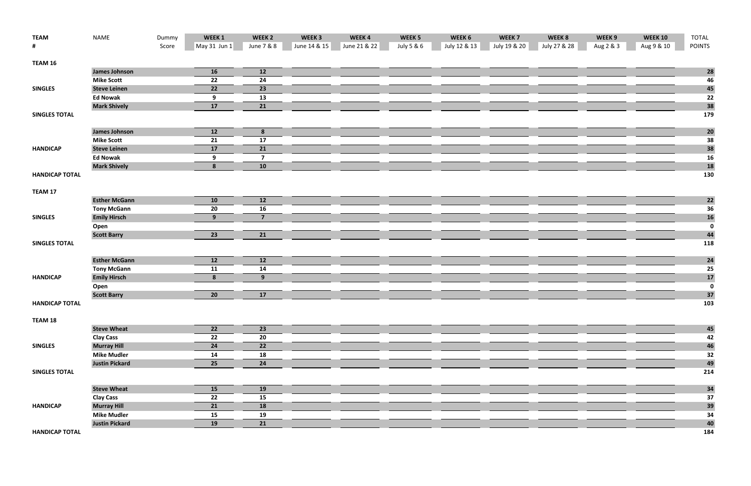| <b>TEAM</b>           | NAME                  | Dummy | WEEK 1       | WEEK <sub>2</sub>       | WEEK <sub>3</sub> | WEEK4        | WEEK <sub>5</sub> | WEEK 6       | WEEK <sub>7</sub> | WEEK 8       | WEEK 9    | <b>WEEK 10</b> | <b>TOTAL</b>   |
|-----------------------|-----------------------|-------|--------------|-------------------------|-------------------|--------------|-------------------|--------------|-------------------|--------------|-----------|----------------|----------------|
| #                     |                       | Score | May 31 Jun 1 | June 7 & 8              | June 14 & 15      | June 21 & 22 | July 5 & 6        | July 12 & 13 | July 19 & 20      | July 27 & 28 | Aug 2 & 3 | Aug 9 & 10     | <b>POINTS</b>  |
| TEAM 16               |                       |       |              |                         |                   |              |                   |              |                   |              |           |                |                |
|                       | <b>James Johnson</b>  |       | 16           | 12                      |                   |              |                   |              |                   |              |           |                | <b>28</b>      |
|                       | <b>Mike Scott</b>     |       | 22           | 24                      |                   |              |                   |              |                   |              |           |                | 46             |
| <b>SINGLES</b>        | <b>Steve Leinen</b>   |       | 22           | 23                      |                   |              |                   |              |                   |              |           |                | 45             |
|                       | <b>Ed Nowak</b>       |       | 9            | 13                      |                   |              |                   |              |                   |              |           |                | 22             |
|                       | <b>Mark Shively</b>   |       | 17           | 21                      |                   |              |                   |              |                   |              |           |                | 38             |
| <b>SINGLES TOTAL</b>  |                       |       |              |                         |                   |              |                   |              |                   |              |           |                | 179            |
|                       | <b>James Johnson</b>  |       | 12           | 8                       |                   |              |                   |              |                   |              |           |                | 20             |
|                       | <b>Mike Scott</b>     |       | 21           | 17                      |                   |              |                   |              |                   |              |           |                | 38             |
| <b>HANDICAP</b>       | <b>Steve Leinen</b>   |       | 17           | 21                      |                   |              |                   |              |                   |              |           |                | 38             |
|                       | <b>Ed Nowak</b>       |       | 9            | $\overline{\mathbf{z}}$ |                   |              |                   |              |                   |              |           |                | <b>16</b>      |
|                       | <b>Mark Shively</b>   |       | 8            | 10                      |                   |              |                   |              |                   |              |           |                | 18             |
| <b>HANDICAP TOTAL</b> |                       |       |              |                         |                   |              |                   |              |                   |              |           |                | 130            |
| TEAM 17               |                       |       |              |                         |                   |              |                   |              |                   |              |           |                |                |
|                       | <b>Esther McGann</b>  |       | 10           | 12                      |                   |              |                   |              |                   |              |           |                | $\mathbf{22}$  |
|                       | <b>Tony McGann</b>    |       | 20           | 16                      |                   |              |                   |              |                   |              |           |                | 36             |
| <b>SINGLES</b>        | <b>Emily Hirsch</b>   |       | 9            | $\overline{7}$          |                   |              |                   |              |                   |              |           |                |                |
|                       | Open                  |       |              |                         |                   |              |                   |              |                   |              |           |                | $\frac{16}{0}$ |
|                       | <b>Scott Barry</b>    |       | 23           | 21                      |                   |              |                   |              |                   |              |           |                | 44             |
| <b>SINGLES TOTAL</b>  |                       |       |              |                         |                   |              |                   |              |                   |              |           |                | 118            |
|                       | <b>Esther McGann</b>  |       | 12           | 12                      |                   |              |                   |              |                   |              |           |                | 24             |
|                       | <b>Tony McGann</b>    |       | 11           | 14                      |                   |              |                   |              |                   |              |           |                | 25             |
| <b>HANDICAP</b>       | <b>Emily Hirsch</b>   |       | 8            | 9                       |                   |              |                   |              |                   |              |           |                | $17$           |
|                       | Open                  |       |              |                         |                   |              |                   |              |                   |              |           |                | $\bf{0}$       |
|                       | <b>Scott Barry</b>    |       | 20           | 17                      |                   |              |                   |              |                   |              |           |                | 37             |
| <b>HANDICAP TOTAL</b> |                       |       |              |                         |                   |              |                   |              |                   |              |           |                | 103            |
| TEAM 18               |                       |       |              |                         |                   |              |                   |              |                   |              |           |                |                |
|                       | <b>Steve Wheat</b>    |       | 22           | 23                      |                   |              |                   |              |                   |              |           |                | 45             |
|                       | <b>Clay Cass</b>      |       | 22           | 20                      |                   |              |                   |              |                   |              |           |                | 42             |
| <b>SINGLES</b>        | <b>Murray Hill</b>    |       | 24           | 22                      |                   |              |                   |              |                   |              |           |                | 46             |
|                       | <b>Mike Mudler</b>    |       | 14           | 18                      |                   |              |                   |              |                   |              |           |                | 32             |
|                       | <b>Justin Pickard</b> |       | 25           | 24                      |                   |              |                   |              |                   |              |           |                | 49             |
| <b>SINGLES TOTAL</b>  |                       |       |              |                         |                   |              |                   |              |                   |              |           |                | 214            |
|                       | <b>Steve Wheat</b>    |       | <b>15</b>    | <b>19</b>               |                   |              |                   |              |                   |              |           |                | 34             |
|                       | <b>Clay Cass</b>      |       | 22           | 15                      |                   |              |                   |              |                   |              |           |                | 37             |
| <b>HANDICAP</b>       | <b>Murray Hill</b>    |       | 21           | <b>18</b>               |                   |              |                   |              |                   |              |           |                | 39             |
|                       | <b>Mike Mudler</b>    |       | 15           | 19                      |                   |              |                   |              |                   |              |           |                | 34             |
|                       | <b>Justin Pickard</b> |       | 19           | 21                      |                   |              |                   |              |                   |              |           |                | 40             |
| <b>HANDICAP TOTAL</b> |                       |       |              |                         |                   |              |                   |              |                   |              |           |                | 184            |

**HANDICAP**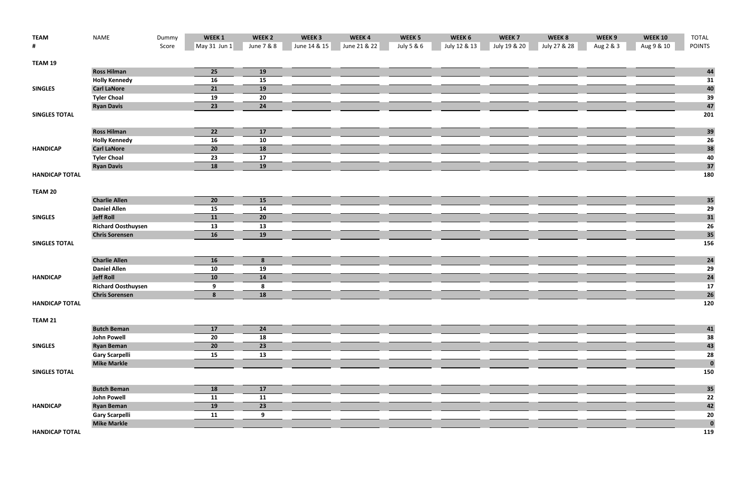| <b>TEAM</b>           | <b>NAME</b>               | Dummy | WEEK 1       | WEEK <sub>2</sub> | WEEK <sub>3</sub> | WEEK4        | WEEK <sub>5</sub> | WEEK 6       | WEEK <sub>7</sub> | WEEK 8       | WEEK 9    | <b>WEEK 10</b> | <b>TOTAL</b>  |
|-----------------------|---------------------------|-------|--------------|-------------------|-------------------|--------------|-------------------|--------------|-------------------|--------------|-----------|----------------|---------------|
| #                     |                           | Score | May 31 Jun 1 | June 7 & 8        | June 14 & 15      | June 21 & 22 | July 5 & 6        | July 12 & 13 | July 19 & 20      | July 27 & 28 | Aug 2 & 3 | Aug 9 & 10     | <b>POINTS</b> |
| TEAM 19               |                           |       |              |                   |                   |              |                   |              |                   |              |           |                |               |
|                       | <b>Ross Hilman</b>        |       | 25           | <b>19</b>         |                   |              |                   |              |                   |              |           |                | 44            |
|                       | <b>Holly Kennedy</b>      |       | 16           | 15                |                   |              |                   |              |                   |              |           |                | 31            |
| <b>SINGLES</b>        | <b>Carl LaNore</b>        |       | 21           | 19                |                   |              |                   |              |                   |              |           |                | 40            |
|                       | <b>Tyler Choal</b>        |       | 19           | 20                |                   |              |                   |              |                   |              |           |                | 39            |
|                       | <b>Ryan Davis</b>         |       | 23           | 24                |                   |              |                   |              |                   |              |           |                | 47            |
| <b>SINGLES TOTAL</b>  |                           |       |              |                   |                   |              |                   |              |                   |              |           |                | 201           |
|                       | <b>Ross Hilman</b>        |       | 22           | 17                |                   |              |                   |              |                   |              |           |                | 39            |
|                       | <b>Holly Kennedy</b>      |       | 16           | 10                |                   |              |                   |              |                   |              |           |                | 26            |
| <b>HANDICAP</b>       | <b>Carl LaNore</b>        |       | 20           | <b>18</b>         |                   |              |                   |              |                   |              |           |                | 38            |
|                       | <b>Tyler Choal</b>        |       | 23           | 17                |                   |              |                   |              |                   |              |           |                | 40            |
|                       | <b>Ryan Davis</b>         |       | 18           | 19                |                   |              |                   |              |                   |              |           |                | 37            |
| <b>HANDICAP TOTAL</b> |                           |       |              |                   |                   |              |                   |              |                   |              |           |                | 180           |
| TEAM 20               |                           |       |              |                   |                   |              |                   |              |                   |              |           |                |               |
|                       | <b>Charlie Allen</b>      |       | 20           | <b>15</b>         |                   |              |                   |              |                   |              |           |                | 35            |
|                       | <b>Daniel Allen</b>       |       | 15           | 14                |                   |              |                   |              |                   |              |           |                | 29            |
| <b>SINGLES</b>        | <b>Jeff Roll</b>          |       | 11           | 20                |                   |              |                   |              |                   |              |           |                | 31            |
|                       | <b>Richard Oosthuysen</b> |       | 13           | 13                |                   |              |                   |              |                   |              |           |                | 26            |
|                       | <b>Chris Sorensen</b>     |       | 16           | 19                |                   |              |                   |              |                   |              |           |                | 35            |
| <b>SINGLES TOTAL</b>  |                           |       |              |                   |                   |              |                   |              |                   |              |           |                | 156           |
|                       | <b>Charlie Allen</b>      |       | 16           | $8\phantom{1}$    |                   |              |                   |              |                   |              |           |                | 24            |
|                       | <b>Daniel Allen</b>       |       | 10           | 19                |                   |              |                   |              |                   |              |           |                | 29            |
| <b>HANDICAP</b>       | <b>Jeff Roll</b>          |       | 10           | 14                |                   |              |                   |              |                   |              |           |                | 24            |
|                       | <b>Richard Oosthuysen</b> |       | 9            | 8                 |                   |              |                   |              |                   |              |           |                | 17            |
|                       | <b>Chris Sorensen</b>     |       | 8            | 18                |                   |              |                   |              |                   |              |           |                | 26            |
| <b>HANDICAP TOTAL</b> |                           |       |              |                   |                   |              |                   |              |                   |              |           |                | 120           |
| TEAM 21               |                           |       |              |                   |                   |              |                   |              |                   |              |           |                |               |
|                       | <b>Butch Beman</b>        |       | 17           | 24                |                   |              |                   |              |                   |              |           |                | 41            |
|                       | <b>John Powell</b>        |       | 20           | 18                |                   |              |                   |              |                   |              |           |                | 38            |
| <b>SINGLES</b>        | <b>Ryan Beman</b>         |       | 20           | 23                |                   |              |                   |              |                   |              |           |                | 43            |
|                       | <b>Gary Scarpelli</b>     |       | 15           | 13                |                   |              |                   |              |                   |              |           |                | 28            |
|                       | <b>Mike Markle</b>        |       |              |                   |                   |              |                   |              |                   |              |           |                | $\mathbf 0$   |
| <b>SINGLES TOTAL</b>  |                           |       |              |                   |                   |              |                   |              |                   |              |           |                | 150           |
|                       | <b>Butch Beman</b>        |       | 18           | 17                |                   |              |                   |              |                   |              |           |                | 35            |
|                       | <b>John Powell</b>        |       | 11           | 11                |                   |              |                   |              |                   |              |           |                | 22            |
| <b>HANDICAP</b>       | <b>Ryan Beman</b>         |       | 19           | 23                |                   |              |                   |              |                   |              |           |                | 42            |
|                       | <b>Gary Scarpelli</b>     |       | 11           | 9                 |                   |              |                   |              |                   |              |           |                | 20            |
|                       | <b>Mike Markle</b>        |       |              |                   |                   |              |                   |              |                   |              |           |                | $\mathbf 0$   |
| <b>HANDICAP TOTAL</b> |                           |       |              |                   |                   |              |                   |              |                   |              |           |                | 119           |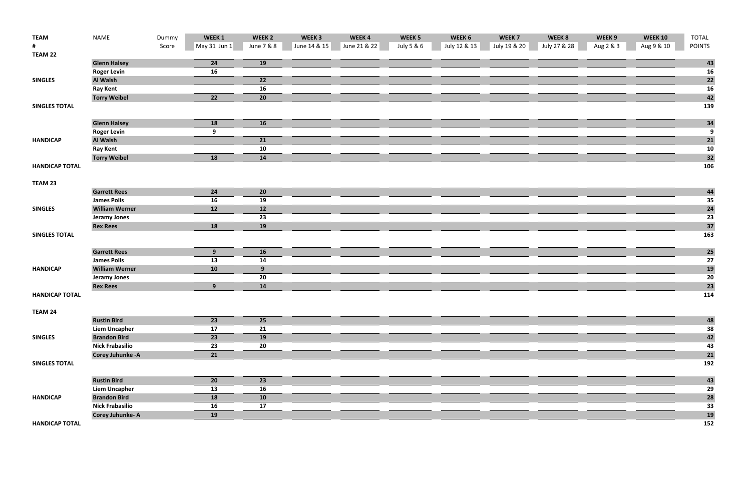| <b>TEAM</b>           | <b>NAME</b>              | Dummy | WEEK 1         | WEEK <sub>2</sub> | WEEK 3       | WEEK4        | WEEK <sub>5</sub> | WEEK 6       | WEEK <sub>7</sub> | WEEK 8       | WEEK 9    | <b>WEEK 10</b> | <b>TOTAL</b>             |
|-----------------------|--------------------------|-------|----------------|-------------------|--------------|--------------|-------------------|--------------|-------------------|--------------|-----------|----------------|--------------------------|
|                       |                          | Score | May 31 Jun 1   | June 7 & 8        | June 14 & 15 | June 21 & 22 | July 5 & 6        | July 12 & 13 | July 19 & 20      | July 27 & 28 | Aug 2 & 3 | Aug 9 & 10     | <b>POINTS</b>            |
| TEAM 22               |                          |       |                |                   |              |              |                   |              |                   |              |           |                |                          |
|                       | <b>Glenn Halsey</b>      |       | 24             | 19                |              |              |                   |              |                   |              |           |                | 43                       |
|                       | <b>Roger Levin</b>       |       | 16             |                   |              |              |                   |              |                   |              |           |                | 16                       |
| <b>SINGLES</b>        | Al Walsh                 |       |                | 22                |              |              |                   |              |                   |              |           |                | $\overline{\mathbf{22}}$ |
|                       | <b>Ray Kent</b>          |       |                | 16                |              |              |                   |              |                   |              |           |                | <b>16</b>                |
|                       | <b>Torry Weibel</b>      |       | 22             | 20                |              |              |                   |              |                   |              |           |                | 42                       |
| <b>SINGLES TOTAL</b>  |                          |       |                |                   |              |              |                   |              |                   |              |           |                | 139                      |
|                       |                          |       |                |                   |              |              |                   |              |                   |              |           |                |                          |
|                       | <b>Glenn Halsey</b>      |       | 18             | 16                |              |              |                   |              |                   |              |           |                |                          |
|                       | <b>Roger Levin</b>       |       | 9              |                   |              |              |                   |              |                   |              |           |                | $\frac{34}{9}$           |
| <b>HANDICAP</b>       | Al Walsh                 |       |                | 21                |              |              |                   |              |                   |              |           |                | 21                       |
|                       | <b>Ray Kent</b>          |       |                | 10                |              |              |                   |              |                   |              |           |                | 10                       |
|                       | <b>Torry Weibel</b>      |       | 18             | 14                |              |              |                   |              |                   |              |           |                | 32                       |
| <b>HANDICAP TOTAL</b> |                          |       |                |                   |              |              |                   |              |                   |              |           |                | 106                      |
|                       |                          |       |                |                   |              |              |                   |              |                   |              |           |                |                          |
| TEAM 23               |                          |       |                |                   |              |              |                   |              |                   |              |           |                |                          |
|                       | <b>Garrett Rees</b>      |       | 24             | 20                |              |              |                   |              |                   |              |           |                | 44                       |
|                       | <b>James Polis</b>       |       | 16             | 19                |              |              |                   |              |                   |              |           |                | 35                       |
| <b>SINGLES</b>        | <b>William Werner</b>    |       | 12             | 12                |              |              |                   |              |                   |              |           |                |                          |
|                       | <b>Jeramy Jones</b>      |       |                | 23                |              |              |                   |              |                   |              |           |                | $\frac{24}{23}$          |
|                       | <b>Rex Rees</b>          |       | 18             | 19                |              |              |                   |              |                   |              |           |                | 37                       |
| <b>SINGLES TOTAL</b>  |                          |       |                |                   |              |              |                   |              |                   |              |           |                | 163                      |
|                       |                          |       |                |                   |              |              |                   |              |                   |              |           |                |                          |
|                       | <b>Garrett Rees</b>      |       | 9 <sub>o</sub> | 16                |              |              |                   |              |                   |              |           |                | 25                       |
|                       | <b>James Polis</b>       |       | 13             | 14                |              |              |                   |              |                   |              |           |                | 27                       |
| <b>HANDICAP</b>       | <b>William Werner</b>    |       | 10             | 9                 |              |              |                   |              |                   |              |           |                | 19                       |
|                       | <b>Jeramy Jones</b>      |       |                | 20                |              |              |                   |              |                   |              |           |                | 20                       |
|                       | <b>Rex Rees</b>          |       | 9 <sub>o</sub> | 14                |              |              |                   |              |                   |              |           |                | 23                       |
| <b>HANDICAP TOTAL</b> |                          |       |                |                   |              |              |                   |              |                   |              |           |                | 114                      |
|                       |                          |       |                |                   |              |              |                   |              |                   |              |           |                |                          |
| TEAM 24               |                          |       |                |                   |              |              |                   |              |                   |              |           |                |                          |
|                       | <b>Rustin Bird</b>       |       | 23             | 25                |              |              |                   |              |                   |              |           |                | 48                       |
|                       | <b>Liem Uncapher</b>     |       | 17             | 21                |              |              |                   |              |                   |              |           |                | 38                       |
| <b>SINGLES</b>        | <b>Brandon Bird</b>      |       | 23             | 19                |              |              |                   |              |                   |              |           |                | 42                       |
|                       | <b>Nick Frabasilio</b>   |       | 23             | 20                |              |              |                   |              |                   |              |           |                | 43                       |
|                       | <b>Corey Juhunke - A</b> |       | 21             |                   |              |              |                   |              |                   |              |           |                | 21                       |
| <b>SINGLES TOTAL</b>  |                          |       |                |                   |              |              |                   |              |                   |              |           |                | 192                      |
|                       |                          |       |                |                   |              |              |                   |              |                   |              |           |                |                          |
|                       | <b>Rustin Bird</b>       |       | 20             | 23                |              |              |                   |              |                   |              |           |                | 43                       |
|                       | <b>Liem Uncapher</b>     |       | 13             | 16                |              |              |                   |              |                   |              |           |                | 29                       |
| <b>HANDICAP</b>       | <b>Brandon Bird</b>      |       | 18             | 10                |              |              |                   |              |                   |              |           |                | <b>28</b>                |
|                       | <b>Nick Frabasilio</b>   |       | 16             | 17                |              |              |                   |              |                   |              |           |                | 33                       |
|                       | <b>Corey Juhunke-A</b>   |       | 19             |                   |              |              |                   |              |                   |              |           |                | 19                       |
| <b>HANDICAP TOTAL</b> |                          |       |                |                   |              |              |                   |              |                   |              |           |                | 152                      |

**HANDICAP**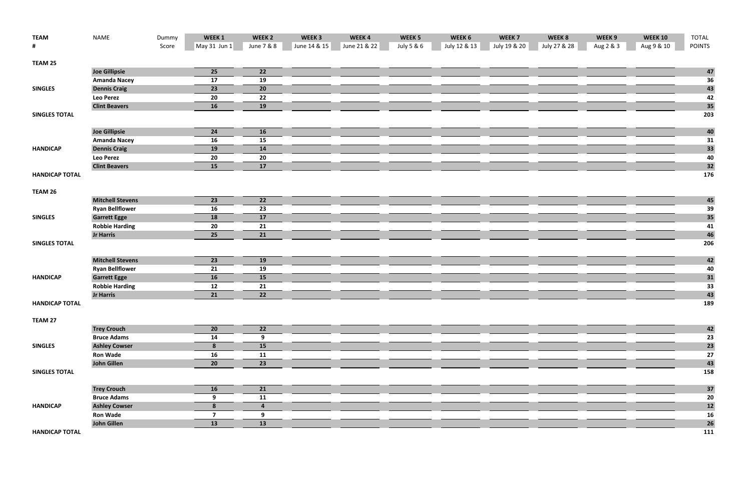| <b>TEAM</b>           | NAME                    | Dummy | WEEK 1                  | WEEK <sub>2</sub> | WEEK <sub>3</sub> | WEEK4        | WEEK <sub>5</sub> | WEEK 6       | WEEK <sub>7</sub> | WEEK 8       | WEEK 9    | <b>WEEK 10</b> | <b>TOTAL</b>  |
|-----------------------|-------------------------|-------|-------------------------|-------------------|-------------------|--------------|-------------------|--------------|-------------------|--------------|-----------|----------------|---------------|
| #                     |                         | Score | $\vert$ May 31 Jun 1    | June 7 & 8        | June 14 & 15      | June 21 & 22 | July 5 & 6        | July 12 & 13 | July 19 & 20      | July 27 & 28 | Aug 2 & 3 | Aug 9 & 10     | <b>POINTS</b> |
| TEAM 25               |                         |       |                         |                   |                   |              |                   |              |                   |              |           |                |               |
|                       | <b>Joe Gillipsie</b>    |       | 25                      | 22                |                   |              |                   |              |                   |              |           |                | 47            |
|                       | <b>Amanda Nacey</b>     |       | 17                      | 19                |                   |              |                   |              |                   |              |           |                | 36            |
| <b>SINGLES</b>        | <b>Dennis Craig</b>     |       | 23                      | 20                |                   |              |                   |              |                   |              |           |                | 43            |
|                       | <b>Leo Perez</b>        |       | 20                      | 22                |                   |              |                   |              |                   |              |           |                | 42            |
|                       | <b>Clint Beavers</b>    |       | 16                      | 19                |                   |              |                   |              |                   |              |           |                | 35            |
| <b>SINGLES TOTAL</b>  |                         |       |                         |                   |                   |              |                   |              |                   |              |           |                | 203           |
|                       | <b>Joe Gillipsie</b>    |       | 24                      | 16                |                   |              |                   |              |                   |              |           |                | 40            |
|                       | <b>Amanda Nacey</b>     |       | 16                      | 15                |                   |              |                   |              |                   |              |           |                | 31            |
| <b>HANDICAP</b>       | <b>Dennis Craig</b>     |       | <b>19</b>               | 14                |                   |              |                   |              |                   |              |           |                | 33            |
|                       | <b>Leo Perez</b>        |       | 20                      | 20                |                   |              |                   |              |                   |              |           |                | 40            |
|                       | <b>Clint Beavers</b>    |       | 15                      | 17                |                   |              |                   |              |                   |              |           |                | 32            |
| <b>HANDICAP TOTAL</b> |                         |       |                         |                   |                   |              |                   |              |                   |              |           |                | 176           |
| TEAM 26               |                         |       |                         |                   |                   |              |                   |              |                   |              |           |                |               |
|                       | <b>Mitchell Stevens</b> |       | 23                      | 22                |                   |              |                   |              |                   |              |           |                | 45            |
|                       | <b>Ryan Bellflower</b>  |       | 16                      | 23                |                   |              |                   |              |                   |              |           |                | 39            |
| <b>SINGLES</b>        | <b>Garrett Egge</b>     |       | 18                      | 17                |                   |              |                   |              |                   |              |           |                | 35            |
|                       | <b>Robbie Harding</b>   |       | 20                      | 21                |                   |              |                   |              |                   |              |           |                | 41            |
|                       | <b>Jr Harris</b>        |       | 25                      | 21                |                   |              |                   |              |                   |              |           |                | 46            |
| <b>SINGLES TOTAL</b>  |                         |       |                         |                   |                   |              |                   |              |                   |              |           |                | 206           |
|                       | <b>Mitchell Stevens</b> |       | 23                      | <b>19</b>         |                   |              |                   |              |                   |              |           |                | 42            |
|                       | <b>Ryan Bellflower</b>  |       | 21                      | 19                |                   |              |                   |              |                   |              |           |                | 40            |
| <b>HANDICAP</b>       | <b>Garrett Egge</b>     |       | 16                      | 15                |                   |              |                   |              |                   |              |           |                | 31            |
|                       | <b>Robbie Harding</b>   |       | 12                      | 21                |                   |              |                   |              |                   |              |           |                | 33            |
|                       | <b>Jr Harris</b>        |       | 21                      | 22                |                   |              |                   |              |                   |              |           |                | 43            |
| <b>HANDICAP TOTAL</b> |                         |       |                         |                   |                   |              |                   |              |                   |              |           |                | 189           |
| TEAM 27               |                         |       |                         |                   |                   |              |                   |              |                   |              |           |                |               |
|                       | <b>Trey Crouch</b>      |       | 20                      | 22                |                   |              |                   |              |                   |              |           |                | 42            |
|                       | <b>Bruce Adams</b>      |       | 14                      | 9                 |                   |              |                   |              |                   |              |           |                | 23            |
| <b>SINGLES</b>        | <b>Ashley Cowser</b>    |       | 8                       | 15                |                   |              |                   |              |                   |              |           |                | 23            |
|                       | <b>Ron Wade</b>         |       | 16                      | 11                |                   |              |                   |              |                   |              |           |                | 27            |
|                       | <b>John Gillen</b>      |       | 20                      | 23                |                   |              |                   |              |                   |              |           |                | 43            |
| <b>SINGLES TOTAL</b>  |                         |       |                         |                   |                   |              |                   |              |                   |              |           |                | 158           |
|                       | <b>Trey Crouch</b>      |       | 16                      | 21                |                   |              |                   |              |                   |              |           |                | 37            |
|                       | <b>Bruce Adams</b>      |       | 9                       | 11                |                   |              |                   |              |                   |              |           |                | 20            |
| <b>HANDICAP</b>       | <b>Ashley Cowser</b>    |       | 8                       | $\overline{4}$    |                   |              |                   |              |                   |              |           |                | 12            |
|                       | <b>Ron Wade</b>         |       | $\overline{\mathbf{z}}$ | 9                 |                   |              |                   |              |                   |              |           |                | <b>16</b>     |
|                       | <b>John Gillen</b>      |       | 13                      | 13                |                   |              |                   |              |                   |              |           |                | 26            |
| <b>HANDICAP TOTAL</b> |                         |       |                         |                   |                   |              |                   |              |                   |              |           |                | 111           |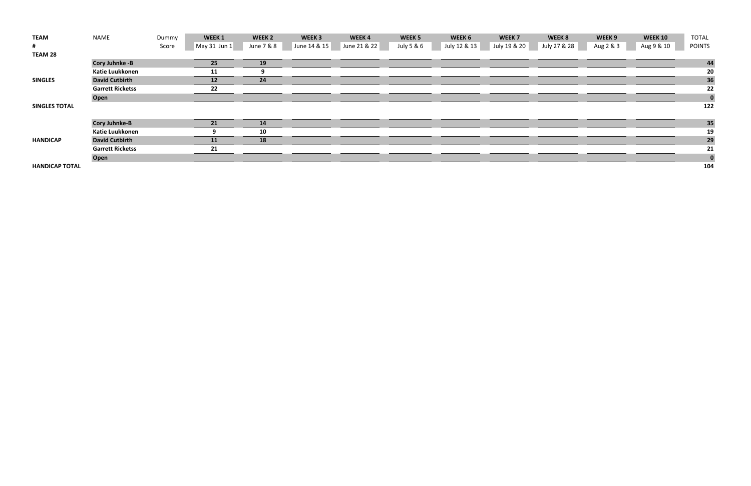| <b>TEAM</b>           | NAME                    | Dummy | WEEK <sub>1</sub> | WEEK 2     | WEEK <sub>3</sub> | WEEK4        | WEEK <sub>5</sub> | WEEK 6                                 | WEEK <sub>7</sub> | WEEK 8       | WEEK 9    | <b>WEEK 10</b> | <b>TOTAL</b>  |
|-----------------------|-------------------------|-------|-------------------|------------|-------------------|--------------|-------------------|----------------------------------------|-------------------|--------------|-----------|----------------|---------------|
| #                     |                         | Score | May 31 Jun 1      | June 7 & 8 | June 14 & 15      | June 21 & 22 | July 5 & 6        | $^{\dagger}$ July 12 & 13 $_{\dagger}$ | July 19 & 20      | July 27 & 28 | Aug 2 & 3 | Aug 9 & 10     | <b>POINTS</b> |
| <b>TEAM 28</b>        |                         |       |                   |            |                   |              |                   |                                        |                   |              |           |                |               |
|                       | <b>Cory Juhnke -B</b>   |       | 25                | 19         |                   |              |                   |                                        |                   |              |           |                | 44            |
|                       | Katie Luukkonen         |       | 11                |            |                   |              |                   |                                        |                   |              |           |                | 20            |
| <b>SINGLES</b>        | <b>David Cutbirth</b>   |       | 12                | 24         |                   |              |                   |                                        |                   |              |           |                | 36            |
|                       | <b>Garrett Ricketss</b> |       | 22                |            |                   |              |                   |                                        |                   |              |           |                | 22            |
|                       | Open                    |       |                   |            |                   |              |                   |                                        |                   |              |           |                | $\bf{0}$      |
| <b>SINGLES TOTAL</b>  |                         |       |                   |            |                   |              |                   |                                        |                   |              |           |                | 122           |
|                       |                         |       |                   |            |                   |              |                   |                                        |                   |              |           |                |               |
|                       | <b>Cory Juhnke-B</b>    |       | 21                | <b>14</b>  |                   |              |                   |                                        |                   |              |           |                | 35            |
|                       | Katie Luukkonen         |       |                   | 10         |                   |              |                   |                                        |                   |              |           |                | 19            |
| <b>HANDICAP</b>       | <b>David Cutbirth</b>   |       | 11                | <b>18</b>  |                   |              |                   |                                        |                   |              |           |                | 29            |
|                       | <b>Garrett Ricketss</b> |       | 21                |            |                   |              |                   |                                        |                   |              |           |                | 21            |
|                       | Open                    |       |                   |            |                   |              |                   |                                        |                   |              |           |                | $\bf{0}$      |
| <b>HANDICAP TOTAL</b> |                         |       |                   |            |                   |              |                   |                                        |                   |              |           |                | 104           |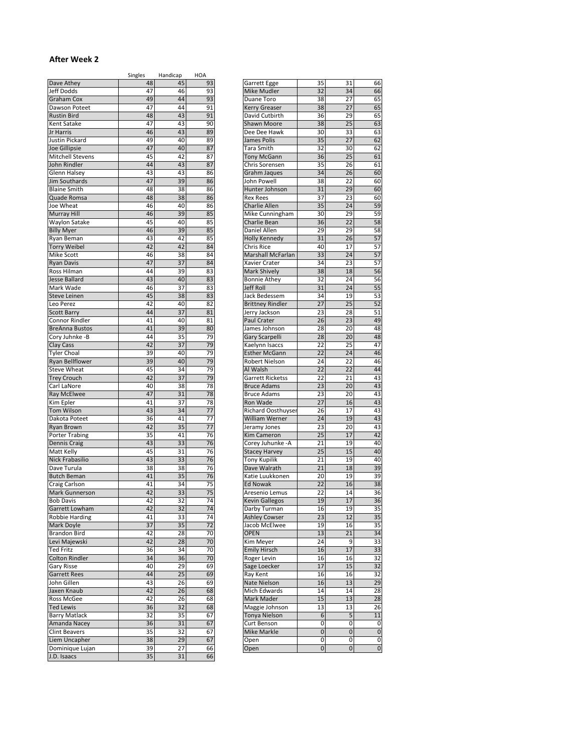## **After Week 2**

|                                   | Singles  | Handicap        | HOA                            |                              |          |                |          |
|-----------------------------------|----------|-----------------|--------------------------------|------------------------------|----------|----------------|----------|
| Dave Athey                        | 48       | 45              | 93                             | Garrett Egge                 | 35       | 31             | 66       |
| Jeff Dodds                        | 47       | 46              | 93                             | <b>Mike Mudler</b>           | 32       | 34             | 66       |
| <b>Graham Cox</b>                 | 49       | 44              | 93                             | Duane Toro                   | 38       | 27             | 65       |
| Dawson Poteet                     | 47       | 44              | 91                             | <b>Kerry Greaser</b>         | 38       | 27             | 65       |
| <b>Rustin Bird</b>                | 48       | 43              | 91                             | David Cutbirth               | 36       | 29             | 65       |
| Kent Satake                       | 47       | 43              | 90                             | <b>Shawn Moore</b>           | 38       | 25             | 63       |
| Jr Harris                         | 46       | 43              | 89                             | Dee Dee Hawk                 | 30       | 33             | 63       |
| <b>Justin Pickard</b>             | 49       | 40              | 89                             | James Polis                  | 35       | 27             | 62       |
| Joe Gillipsie                     | 47       | 40              | 87                             | Tara Smith                   | 32       | 30             | 62       |
| <b>Mitchell Stevens</b>           | 45       | 42              | 87                             | <b>Tony McGann</b>           | 36       | 25             | 61       |
| John Rindler                      | 44       | 43              | 87                             | Chris Sorensen               | 35       | 26             | 61       |
| Glenn Halsey                      | 43       | 43              | 86                             | Grahm Jaques                 | 34       | 26             | 60       |
| <b>Jim Southards</b>              | 47       | 39              | 86                             | John Powell                  | 38       | 22             | 60       |
| <b>Blaine Smith</b>               | 48       | 38              | 86                             | Hunter Johnson               | 31       | 29             | 60       |
| Quade Romsa                       | 48       | 38              | 86                             | <b>Rex Rees</b>              | 37       | 23             | 60       |
| Joe Wheat                         | 46       | 40              | 86                             | <b>Charlie Allen</b>         | 35       | 24             | 59       |
| <b>Murray Hill</b>                | 46       | 39              | 85                             | Mike Cunningham              | 30       | 29             | 59       |
| <b>Waylon Satake</b>              | 45<br>46 | 40<br>39        | 85<br>85                       | Charlie Bean                 | 36<br>29 | 22<br>29       | 58<br>58 |
| <b>Billy Myer</b>                 | 43       | 42              | 85                             | Daniel Allen                 | 31       | 26             | 57       |
| Ryan Beman<br><b>Torry Weibel</b> | 42       | 42              | 84                             | Holly Kennedy<br>Chris Rice  | 40       | 17             | 57       |
| <b>Mike Scott</b>                 | 46       | 38              | 84                             | <b>Marshall McFarlan</b>     | 33       | 24             | 57       |
| <b>Ryan Davis</b>                 | 47       | 37              | 84                             | Xavier Crater                | 34       | 23             | 57       |
| Ross Hilman                       | 44       | 39              | 83                             | Mark Shively                 | 38       | 18             | 56       |
| <b>Jesse Ballard</b>              | 43       | 40              | 83                             | <b>Bonnie Athey</b>          | 32       | 24             | 56       |
| Mark Wade                         | 46       | 37              | 83                             | Jeff Roll                    | 31       | 24             | 55       |
| <b>Steve Leinen</b>               | 45       | 38              | 83                             | Jack Bedessem                | 34       | 19             | 53       |
| Leo Perez                         | 42       | 40              | 82                             | <b>Brittney Rindler</b>      | 27       | 25             | 52       |
| <b>Scott Barry</b>                | 44       | 37              | 81                             | Jerry Jackson                | 23       | 28             | 51       |
| <b>Connor Rindler</b>             | 41       | 40              | 81                             | Paul Crater                  | 26       | 23             | 49       |
| <b>BreAnna Bustos</b>             | 41       | 39              | 80                             | James Johnson                | 28       | 20             | 48       |
| Cory Juhnke -B                    | 44       | 35              | 79                             | Gary Scarpelli               | 28       | 20             | 48       |
| Clay Cass                         | 42       | 37              | 79                             | Kaelynn Isaccs               | 22       | 25             | 47       |
| <b>Tyler Choal</b>                | 39       | 40              | 79                             | <b>Esther McGann</b>         | 22       | 24             | 46       |
| <b>Ryan Bellflower</b>            | 39       | 40              | 79                             | Robert Nielson               | 24       | 22             | 46       |
| <b>Steve Wheat</b>                | 45       | 34              | 79                             | Al Walsh                     | 22       | 22             | 44       |
| <b>Trey Crouch</b>                | 42       | 37              | 79                             | <b>Garrett Ricketss</b>      | 22       | 21             | 43       |
| Carl LaNore                       | 40       | 38              | 78                             | <b>Bruce Adams</b>           | 23       | 20             | 43       |
| <b>Ray McElwee</b>                | 47       | $\overline{31}$ | 78                             | <b>Bruce Adams</b>           | 23       | 20             | 43       |
| Kim Epler                         | 41       | 37              | 78                             | Ron Wade                     | 27       | 16             | 43       |
| <b>Tom Wilson</b>                 | 43       | 34              | 77                             | Richard Oosthuyser           | 26       | 17             | 43       |
| Dakota Poteet                     | 36       | 41              | 77                             | William Werner               | 24       | 19             | 43       |
| <b>Ryan Brown</b>                 | 42       | 35              | 77                             | Jeramy Jones                 | 23       | 20             | 43       |
| <b>Porter Trabing</b>             | 35       | 41              | 76                             | Kim Cameron                  | 25       | 17             | 42       |
| <b>Dennis Craig</b>               | 43       | 33              | 76                             | Corey Juhunke - A            | 21       | 19             | 40       |
| Matt Kelly                        | 45<br>43 | 31<br>33        | 76<br>76                       | <b>Stacey Harvey</b>         | 25<br>21 | 15<br>19       | 40<br>40 |
| Nick Frabasilio<br>Dave Turula    | 38       | 38              | 76                             | Tony Kupilik<br>Dave Walrath | 21       | 18             | 39       |
| <b>Butch Beman</b>                | 41       | 35              | 76                             | Katie Luukkonen              | 20       | 19             | 39       |
| <b>Craig Carlson</b>              | 41       | 34              | 75                             | <b>Ed Nowak</b>              | 22       | 16             | 38       |
| <b>Mark Gunnerson</b>             | 42       | 33              | 75                             | Aresenio Lemus               | 22       | 14             | 36       |
| <b>Bob Davis</b>                  | 42       | 32              | $\overline{\phantom{a}}$<br>74 | <b>Kevin Gallegos</b>        | 19       | 17             | 36       |
| Garrett Lowham                    | 42       | 32              | 74                             | Darby Turman                 | 16       | 19             | 35       |
| <b>Robbie Harding</b>             | 41       | 33              | 74                             | <b>Ashley Cowser</b>         | 23       | 12             | 35       |
| Mark Doyle                        | 37       | 35              | 72                             | Jacob McElwee                | 19       | 16             | 35       |
| <b>Brandon Bird</b>               | 42       | 28              | 70                             | <b>OPEN</b>                  | 13       | 21             | 34       |
| Levi Majewski                     | 42       | 28              | 70                             | Kim Meyer                    | 24       | 9              | 33       |
| <b>Ted Fritz</b>                  | 36       | 34              | 70                             | <b>Emily Hirsch</b>          | 16       | 17             | 33       |
| <b>Colton Rindler</b>             | 34       | 36              | 70                             | Roger Levin                  | 16       | 16             | 32       |
| <b>Gary Risse</b>                 | 40       | 29              | 69                             | Sage Loecker                 | 17       | 15             | 32       |
| <b>Garrett Rees</b>               | 44       | 25              | 69                             | Ray Kent                     | 16       | 16             | 32       |
| John Gillen                       | 43       | 26              | 69                             | Nate Nielson                 | 16       | 13             | 29       |
| Jaxen Knaub                       | 42       | 26              | 68                             | Mich Edwards                 | 14       | 14             | 28       |
| Ross McGee                        | 42       | 26              | 68                             | <b>Mark Mader</b>            | 15       | 13             | 28       |
| <b>Ted Lewis</b>                  | 36       | 32              | 68                             | Maggie Johnson               | 13       | 13             | 26       |
| <b>Barry Matlack</b>              | 32       | 35              | 67                             | Tonya Nielson                | 6        | 5              | 11       |
| Amanda Nacey                      | 36       | 31              | 67                             | Curt Benson                  | 0        | 0              | 0        |
| <b>Clint Beavers</b>              | 35       | 32              | 67                             | Mike Markle                  | 0        | $\overline{0}$ | 0        |
| Liem Uncapher                     | 38       | 29              | 67                             | Open                         | 0        | 0              | 0        |
| Dominique Lujan                   | 39       | 27              | 66                             | Open                         | 0        | 0              | 0        |
| J.D. Isaacs                       | 35       | 31              | 66                             |                              |          |                |          |

| Garrett Egge                    | 35              | 31              | 66             |
|---------------------------------|-----------------|-----------------|----------------|
| Mike Mudler                     | $3\overline{2}$ | 34              | 66             |
| Duane Toro                      | 38              | 27              | 65             |
| Kerry Greaser                   | 38              | 27              | 65             |
| David Cutbirth                  | 36              | 29              | 65             |
| Shawn Moore                     | 38              | 25              | 63             |
| Dee Dee Hawk                    | 30              | 33              | 63             |
| James Polis                     | 35              | 27              | 62             |
| <b>Tara Smith</b>               | 32              | 30              | 62             |
| <b>Tony McGann</b>              | 36              | 25              | 61             |
| Chris Sorensen                  | 35              | 26              | 61             |
| <b>Grahm Jaques</b>             | 34              | 26              | 60             |
| John Powell                     | 38              | 22              | 60             |
| Hunter Johnson                  | 31              | $\overline{29}$ | 60             |
| <b>Rex Rees</b>                 | 37              | 23              | 60             |
| Charlie Allen                   | 35              | 24<br>29        | 59             |
| Mike Cunningham<br>Charlie Bean | 30<br>36        | $\overline{22}$ | 59<br>58       |
| Daniel Allen                    | 29              | 29              | 58             |
| <b>Holly Kennedy</b>            | 31              | 26              | 57             |
| Chris Rice                      | 40              | 17              | 57             |
| Marshall McFarlan               | $\overline{33}$ | 24              | 57             |
| Xavier Crater                   | 34              | 23              | 57             |
| Mark Shively                    | 38              | 18              | 56             |
| <b>Bonnie Athey</b>             | 32              | $2\overline{4}$ | 56             |
| <b>Jeff Roll</b>                | 31              | $\overline{24}$ | 55             |
| <b>Jack Bedessem</b>            | 34              | 19              | 53             |
| <b>Brittney Rindler</b>         | 27              | 25              | 52             |
| Jerry Jackson                   | 23              | 28              | 51             |
| Paul Crater                     | 26              | 23              | 49             |
| James Johnson                   | 28              | 20              | 48             |
| Gary Scarpelli                  | 28              | 20              | 48             |
| Kaelynn Isaccs                  | 22              | 25              | 47             |
| <b>Esther McGann</b>            | 22              | 24              | 46             |
| Robert Nielson                  | 24              | 22              | 46             |
| Al Walsh                        | 22              | 22              | 44             |
| <b>Garrett Ricketss</b>         | 22              | 21              | 43             |
| <b>Bruce Adams</b>              | 23              | 20              | 43             |
| <b>Bruce Adams</b>              | 23              | 20              | 43             |
| Ron Wade                        | 27              | 16              | 43             |
| Richard Oosthuyser              | 26              | 17              | 43             |
| William Werner                  | 24<br>23        | 19              | 43             |
| Jeramy Jones<br>Kim Cameron     | 25              | 20<br>17        | 43<br>42       |
| Corey Juhunke - A               | 21              | 19              | 40             |
| <b>Stacey Harvey</b>            | 25              | 15              | 40             |
| <b>Tony Kupilik</b>             | 21              | 19              | 40             |
| Dave Walrath                    | 21              | 18              | 39             |
| Katie Luukkonen                 | 20              | 19              | 39             |
| <b>Ed Nowak</b>                 | 22              | 16              | 38             |
| Aresenio Lemus                  | $\overline{22}$ | $\overline{1}$  | 36             |
| <b>Kevin Gallegos</b>           | 19              | 17              | 36             |
| Darby Turman                    | 16              | 19              | 35             |
| Ashley Cowser                   | 23              | 12              | 35             |
| Jacob McElwee                   | 19              | 16              | 35             |
| <b>OPEN</b>                     | 13              | 21              | 34             |
| Kim Meyer                       | 24              | 9               | 33             |
| <b>Emily Hirsch</b>             | 16              | 17              | 33             |
| Roger Levin                     | 16              | 16              | 32             |
| Sage Loecker                    | 17              | 15              | 32             |
| Ray Kent                        | 16              | 16              | 32             |
| Nate Nielson                    | 16              | 13              | 29             |
| Mich Edwards                    | 14              | 14              | 28             |
| Mark Mader                      | 15              | 13              | 28             |
| Maggie Johnson                  | 13              | 13              | 26             |
| Tonya Nielson                   | 6               | 5               | 11             |
| Curt Benson                     | 0               | 0               | 0              |
| <b>Mike Markle</b>              | 0               | 0               | 0              |
| Open                            | 0               | 0               | 0              |
| Open                            | 0               | 0               | $\overline{0}$ |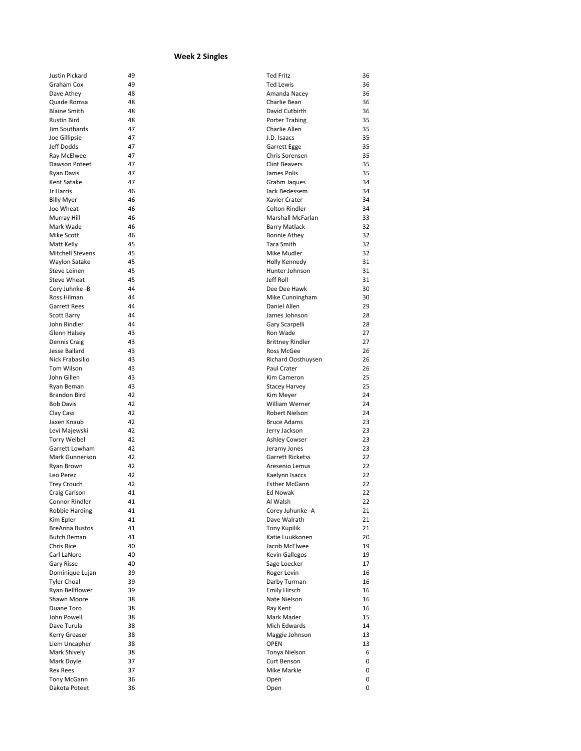## **Week 2 Singles**

| <b>Justin Pickard</b>       | 49       | <b>Ted Fritz</b>                       | 36       |
|-----------------------------|----------|----------------------------------------|----------|
| Graham Cox                  | 49       | <b>Ted Lewis</b>                       | 36       |
| Dave Athey                  | 48       | Amanda Nacey                           | 36       |
| Quade Romsa                 | 48       | Charlie Bean                           | 36       |
| <b>Blaine Smith</b>         | 48       | David Cutbirth                         | 36       |
| <b>Rustin Bird</b>          | 48       | Porter Trabing                         | 35       |
| Jim Southards               | 47       | Charlie Allen                          | 35       |
| Joe Gillipsie               | 47       | J.D. Isaacs                            | 35       |
| Jeff Dodds                  | 47       | Garrett Egge                           | 35       |
| Ray McElwee                 | 47       | Chris Sorensen                         | 35       |
| Dawson Poteet               | 47       | <b>Clint Beavers</b>                   | 35       |
| Ryan Davis                  | 47       | James Polis                            | 35       |
| Kent Satake                 | 47       | Grahm Jaques                           | 34       |
| Jr Harris                   | 46       | Jack Bedessem                          | 34       |
| <b>Billy Myer</b>           | 46<br>46 | Xavier Crater<br><b>Colton Rindler</b> | 34<br>34 |
| Joe Wheat                   | 46       | Marshall McFarlan                      | 33       |
| Murray Hill<br>Mark Wade    | 46       | <b>Barry Matlack</b>                   | 32       |
| Mike Scott                  | 46       | <b>Bonnie Athey</b>                    | 32       |
| Matt Kelly                  | 45       | Tara Smith                             | 32       |
| <b>Mitchell Stevens</b>     | 45       | Mike Mudler                            | 32       |
| Waylon Satake               | 45       | Holly Kennedy                          | 31       |
| Steve Leinen                | 45       | Hunter Johnson                         | 31       |
| <b>Steve Wheat</b>          | 45       | Jeff Roll                              | 31       |
| Cory Juhnke -B              | 44       | Dee Dee Hawk                           | 30       |
| Ross Hilman                 | 44       | Mike Cunningham                        | 30       |
| <b>Garrett Rees</b>         | 44       | Daniel Allen                           | 29       |
| Scott Barry                 | 44       | James Johnson                          | 28       |
| John Rindler                | 44       | Gary Scarpelli                         | 28       |
| Glenn Halsey                | 43       | Ron Wade                               | 27       |
| Dennis Craig                | 43       | <b>Brittney Rindler</b>                | 27       |
| Jesse Ballard               | 43       | Ross McGee                             | 26       |
| Nick Frabasilio             | 43       | Richard Oosthuysen                     | 26       |
| Tom Wilson                  | 43       | Paul Crater                            | 26       |
| John Gillen                 | 43       | Kim Cameron                            | 25       |
| Ryan Beman                  | 43       | <b>Stacey Harvey</b>                   | 25       |
| <b>Brandon Bird</b>         | 42       | Kim Meyer                              | 24       |
| <b>Bob Davis</b>            | 42       | William Werner                         | 24       |
| Clay Cass                   | 42       | Robert Nielson                         | 24       |
| Jaxen Knaub                 | 42       | <b>Bruce Adams</b>                     | 23       |
| Levi Majewski               | 42       | Jerry Jackson                          | 23       |
| <b>Torry Weibel</b>         | 42       | <b>Ashley Cowser</b>                   | 23       |
| Garrett Lowham              | 42       | Jeramy Jones                           | 23       |
| Mark Gunnerson              | 42       | <b>Garrett Ricketss</b>                | 22       |
| Ryan Brown                  | 42       | Aresenio Lemus                         | 22       |
| Leo Perez                   | 42       | Kaelynn Isaccs                         | 22       |
| <b>Trey Crouch</b>          | 42       | Esther McGann                          | 22       |
| Craig Carlson               | 41       | Ed Nowak<br>Al Walsh                   | 22       |
| Connor Rindler              | 41<br>41 |                                        | 22<br>21 |
| Robbie Harding<br>Kim Epler | 41       | Corey Juhunke - A<br>Dave Walrath      | 21       |
| <b>BreAnna Bustos</b>       | 41       | <b>Tony Kupilik</b>                    | 21       |
| <b>Butch Beman</b>          | 41       | Katie Luukkonen                        | 20       |
| Chris Rice                  | 40       | Jacob McElwee                          | 19       |
| Carl LaNore                 | 40       | <b>Kevin Gallegos</b>                  | 19       |
| <b>Gary Risse</b>           | 40       | Sage Loecker                           | 17       |
| Dominique Lujan             | 39       | Roger Levin                            | 16       |
| <b>Tyler Choal</b>          | 39       | Darby Turman                           | 16       |
| Ryan Bellflower             | 39       | <b>Emily Hirsch</b>                    | 16       |
| Shawn Moore                 | 38       | Nate Nielson                           | 16       |
| Duane Toro                  | 38       | Ray Kent                               | 16       |
| John Powell                 | 38       | Mark Mader                             | 15       |
| Dave Turula                 | 38       | Mich Edwards                           | 14       |
| Kerry Greaser               | 38       | Maggie Johnson                         | 13       |
| Liem Uncapher               | 38       | <b>OPEN</b>                            | 13       |
| Mark Shively                | 38       | Tonya Nielson                          | 6        |
| Mark Doyle                  | 37       | Curt Benson                            | 0        |
| <b>Rex Rees</b>             |          |                                        |          |
|                             | 37       | Mike Markle                            | 0        |
| Tony McGann                 | 36       | Open                                   | 0        |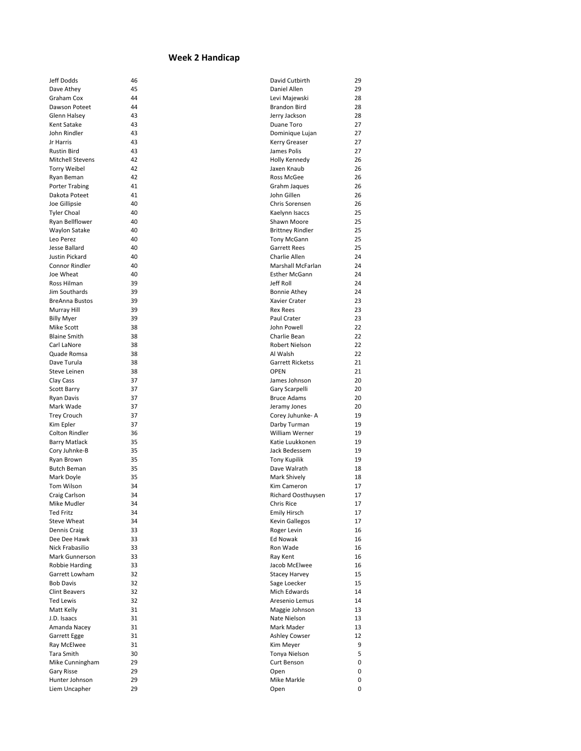## **Week 2 Handicap**

| Jeff Dodds              | 46 | David Cutbirth          | 29 |
|-------------------------|----|-------------------------|----|
| Dave Athey              | 45 | Daniel Allen            | 29 |
| Graham Cox              | 44 | Levi Majewski           | 28 |
| Dawson Poteet           | 44 | <b>Brandon Bird</b>     | 28 |
| Glenn Halsey            | 43 | Jerry Jackson           | 28 |
| Kent Satake             | 43 | Duane Toro              | 27 |
| John Rindler            | 43 | Dominique Lujan         | 27 |
| Jr Harris               | 43 | Kerry Greaser           | 27 |
| <b>Rustin Bird</b>      | 43 | James Polis             | 27 |
| <b>Mitchell Stevens</b> | 42 | Holly Kennedy           | 26 |
| <b>Torry Weibel</b>     | 42 | Jaxen Knaub             | 26 |
| Ryan Beman              | 42 | Ross McGee              | 26 |
| Porter Trabing          | 41 | Grahm Jaques            | 26 |
| Dakota Poteet           | 41 | John Gillen             | 26 |
| Joe Gillipsie           | 40 | Chris Sorensen          | 26 |
| <b>Tyler Choal</b>      | 40 | Kaelynn Isaccs          | 25 |
| Ryan Bellflower         | 40 | Shawn Moore             | 25 |
| Waylon Satake           | 40 | <b>Brittney Rindler</b> | 25 |
| Leo Perez               | 40 | <b>Tony McGann</b>      | 25 |
| Jesse Ballard           | 40 | <b>Garrett Rees</b>     | 25 |
| Justin Pickard          | 40 | Charlie Allen           | 24 |
| Connor Rindler          | 40 | Marshall McFarlan       | 24 |
| Joe Wheat               | 40 | <b>Esther McGann</b>    | 24 |
| Ross Hilman             | 39 | Jeff Roll               | 24 |
| Jim Southards           | 39 | <b>Bonnie Athey</b>     | 24 |
| <b>BreAnna Bustos</b>   | 39 | Xavier Crater           | 23 |
| Murray Hill             | 39 | <b>Rex Rees</b>         | 23 |
| <b>Billy Myer</b>       | 39 | Paul Crater             | 23 |
| Mike Scott              | 38 | John Powell             | 22 |
| <b>Blaine Smith</b>     | 38 | Charlie Bean            | 22 |
| Carl LaNore             | 38 | Robert Nielson          | 22 |
| Quade Romsa             | 38 | Al Walsh                | 22 |
| Dave Turula             | 38 | <b>Garrett Ricketss</b> | 21 |
| Steve Leinen            | 38 | <b>OPEN</b>             | 21 |
| Clay Cass               | 37 | James Johnson           | 20 |
| Scott Barry             | 37 | Gary Scarpelli          | 20 |
| <b>Ryan Davis</b>       | 37 | <b>Bruce Adams</b>      | 20 |
| Mark Wade               | 37 | Jeramy Jones            | 20 |
| <b>Trey Crouch</b>      | 37 | Corey Juhunke- A        | 19 |
| Kim Epler               | 37 | Darby Turman            | 19 |
| Colton Rindler          | 36 | William Werner          | 19 |
| Barry Matlack           | 35 | Katie Luukkonen         | 19 |
| Cory Juhnke-B           | 35 | Jack Bedessem           | 19 |
| Ryan Brown              | 35 | Tony Kupilik            | 19 |
| <b>Butch Beman</b>      | 35 | Dave Walrath            | 18 |
| Mark Doyle              | 35 | Mark Shively            | 18 |
| Tom Wilson              | 34 | Kim Cameron             | 17 |
| Craig Carlson           | 34 | Richard Oosthuysen      | 17 |
| Mike Mudler             | 34 | Chris Rice              | 17 |
| Ted Fritz               | 34 | <b>Emily Hirsch</b>     | 17 |
| Steve Wheat             | 34 | <b>Kevin Gallegos</b>   | 17 |
| Dennis Craig            | 33 | Roger Levin             | 16 |
| Dee Dee Hawk            | 33 | Ed Nowak                | 16 |
| Nick Frabasilio         | 33 | Ron Wade                | 16 |
| Mark Gunnerson          | 33 | Ray Kent                | 16 |
| Robbie Harding          | 33 | Jacob McElwee           | 16 |
| Garrett Lowham          | 32 | <b>Stacey Harvey</b>    | 15 |
| <b>Bob Davis</b>        | 32 | Sage Loecker            | 15 |
| <b>Clint Beavers</b>    | 32 | Mich Edwards            | 14 |
| Ted Lewis               | 32 | Aresenio Lemus          | 14 |
| Matt Kelly              | 31 | Maggie Johnson          | 13 |
| J.D. Isaacs             | 31 | Nate Nielson            | 13 |
| Amanda Nacey            | 31 | Mark Mader              | 13 |
| Garrett Egge            | 31 | <b>Ashley Cowser</b>    | 12 |
| Ray McElwee             | 31 | Kim Meyer               | 9  |
| Tara Smith              | 30 | Tonya Nielson           | 5  |
| Mike Cunningham         | 29 | Curt Benson             | 0  |
| Gary Risse              | 29 | Open                    | 0  |
| Hunter Johnson          | 29 | Mike Markle             | 0  |
| Liem Uncapher           | 29 | Open                    | 0  |